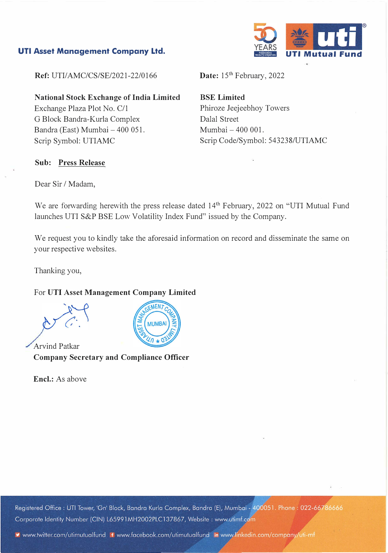### **UTI Asset Management Company Ltd.**



**Ref: UTI/AMC/CS/SE/2021-22/0166** 

**National Stock Exchange of India Limited**  Exchange Plaza Plot No. C/1 G Block Bandra-Kurla Complex Bandra (East) Mumbai - 400 051. Scrip Symbol: UTIAMC

Date: 15<sup>th</sup> February, 2022

**BSE Limited**  Phiroze Jeejeebhoy Towers Dalal Street Mumbai - 400 001. Scrip Code/Symbol: 543238/UTIAMC

### **Sub: Press Release**

Dear Sir / Madam,

We are forwarding herewith the press release dated 14<sup>th</sup> February, 2022 on "UTI Mutual Fund launches UTI S&P BSE Low Volatility Index Fund" issued by the Company.

We request you to kindly take the aforesaid information on record and disseminate the same on your respective websites.

Thanking you,

#### For **UTI Asset Management Company Limited**

Arvind Patkar **Company Secretary and Compliance Officer** 

**Encl.:** As above



Registered Office: UTI Tower, 'Gn' Block, Bandra Kurla Complex, Bandra (E), Mumbai - 400051. Phone: 022-66786666 Corporate Identity Number (CIN) L65991MH2002PLC137867, Website: www.utimf.com

vww.twitter.com/utimutualfund flwww.facebook.com/utimutualfund in www.linkedin.com/company/uti-mf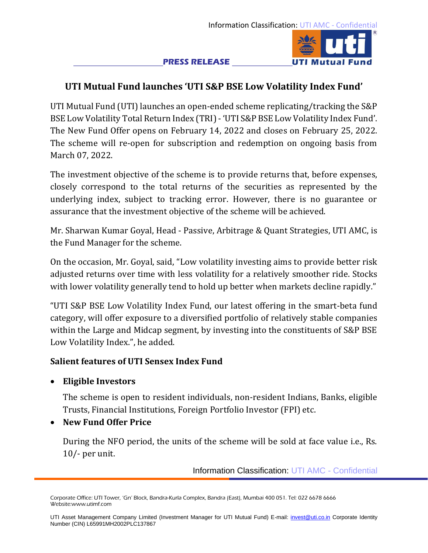#### **PRESS RELEASE**



# **UTI Mutual Fund launches 'UTI S&P BSE Low Volatility Index Fund'**

UTI Mutual Fund (UTI) launches an open-ended scheme replicating/tracking the S&P BSE Low Volatility Total Return Index (TRI) - 'UTI S&P BSE Low Volatility Index Fund'. The New Fund Offer opens on February 14, 2022 and closes on February 25, 2022. The scheme will re-open for subscription and redemption on ongoing basis from March 07, 2022.

The investment objective of the scheme is to provide returns that, before expenses, closely correspond to the total returns of the securities as represented by the underlying index, subject to tracking error. However, there is no guarantee or assurance that the investment objective of the scheme will be achieved.

Mr. Sharwan Kumar Goyal, Head - Passive, Arbitrage & Quant Strategies, UTI AMC, is the Fund Manager for the scheme.

On the occasion, Mr. Goyal, said, "Low volatility investing aims to provide better risk adjusted returns over time with less volatility for a relatively smoother ride. Stocks with lower volatility generally tend to hold up better when markets decline rapidly."

"UTI S&P BSE Low Volatility Index Fund, our latest offering in the smart-beta fund category, will offer exposure to a diversified portfolio of relatively stable companies within the Large and Midcap segment, by investing into the constituents of S&P BSE Low Volatility Index.", he added.

## **Salient features of UTI Sensex Index Fund**

# • **Eligible Investors**

The scheme is open to resident individuals, non-resident Indians, Banks, eligible Trusts, Financial Institutions, Foreign Portfolio Investor (FPI) etc.

# • **New Fund Offer Price**

During the NFO period, the units of the scheme will be sold at face value i.e., Rs. 10/- per unit.

Information Classification: UTI AMC - Confidential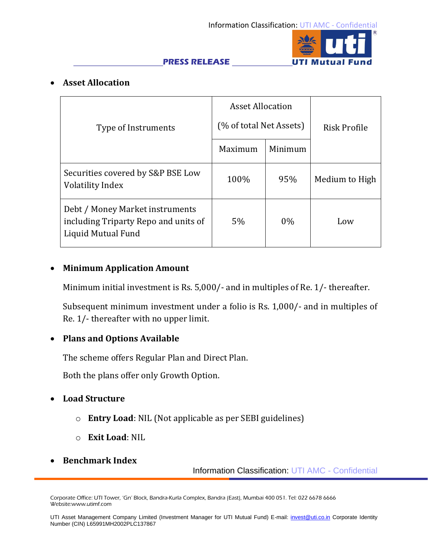

#### **PRESS RELEASE**

# • **Asset Allocation**

|                                                                                               | <b>Asset Allocation</b> |         | Risk Profile   |
|-----------------------------------------------------------------------------------------------|-------------------------|---------|----------------|
| Type of Instruments                                                                           | (% of total Net Assets) |         |                |
|                                                                                               | Maximum                 | Minimum |                |
| Securities covered by S&P BSE Low<br><b>Volatility Index</b>                                  | 100%                    | 95%     | Medium to High |
| Debt / Money Market instruments<br>including Triparty Repo and units of<br>Liquid Mutual Fund | 5%                      | 0%      | Low            |

## • **Minimum Application Amount**

Minimum initial investment is Rs. 5,000/- and in multiples of Re. 1/- thereafter.

Subsequent minimum investment under a folio is Rs. 1,000/- and in multiples of Re. 1/- thereafter with no upper limit.

## • **Plans and Options Available**

The scheme offers Regular Plan and Direct Plan.

Both the plans offer only Growth Option.

- **Load Structure**
	- o **Entry Load**: NIL (Not applicable as per SEBI guidelines)
	- o **Exit Load**: NIL
- **Benchmark Index**

Information Classification: UTI AMC - Confidential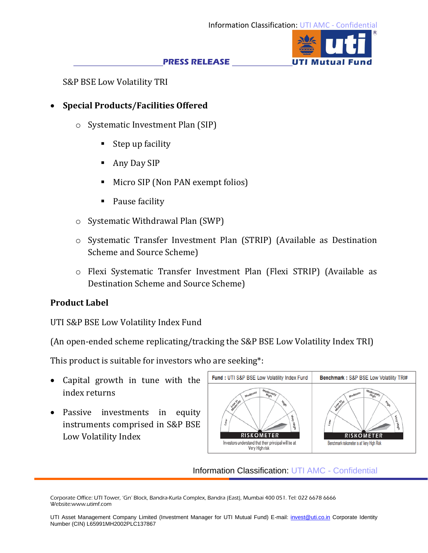UTI Mutual

#### **PRESS RELEASE**

S&P BSE Low Volatility TRI

# • **Special Products/Facilities Offered**

- o Systematic Investment Plan (SIP)
	- Step up facility
	- Any Day SIP
	- Micro SIP (Non PAN exempt folios)
	- Pause facility
- o Systematic Withdrawal Plan (SWP)
- o Systematic Transfer Investment Plan (STRIP) (Available as Destination Scheme and Source Scheme)
- o Flexi Systematic Transfer Investment Plan (Flexi STRIP) (Available as Destination Scheme and Source Scheme)

# **Product Label**

UTI S&P BSE Low Volatility Index Fund

(An open-ended scheme replicating/tracking the S&P BSE Low Volatility Index TRI)

This product is suitable for investors who are seeking\*:

- Capital growth in tune with the index returns
- Passive investments in equity instruments comprised in S&P BSE Low Volatility Index



Information Classification: UTI AMC - Confidential